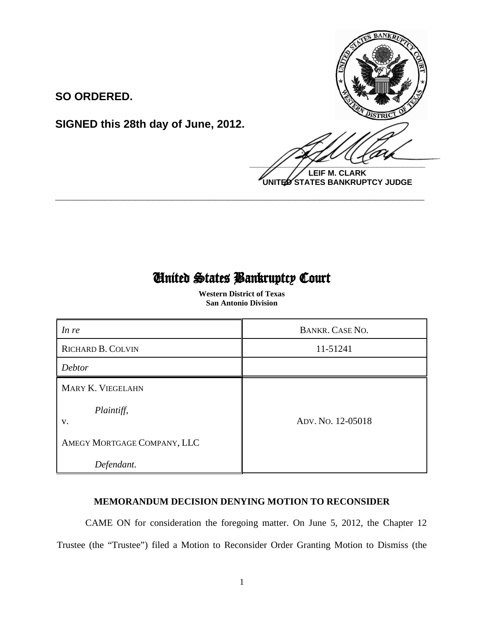

**LEIF M. CLARK UNITED STATES BANKRUPTCY JUDGE**

## United States Bankruptcy Court

 $\overline{\phantom{0}}$ 

**\_\_\_\_\_\_\_\_\_\_\_\_\_\_\_\_\_\_\_\_\_\_\_\_\_\_\_\_\_\_\_\_\_\_\_\_\_\_\_\_\_\_\_\_\_\_\_\_\_\_\_\_\_\_\_\_\_\_\_\_**

**SIGNED this 28th day of June, 2012.**

**SO ORDERED.**

 **Western District of Texas San Antonio Division**

| In re                       | BANKR. CASE NO.   |
|-----------------------------|-------------------|
| <b>RICHARD B. COLVIN</b>    | 11-51241          |
| <b>Debtor</b>               |                   |
| MARY K. VIEGELAHN           |                   |
| Plaintiff,<br>V.            | ADV. No. 12-05018 |
| AMEGY MORTGAGE COMPANY, LLC |                   |
| Defendant.                  |                   |

## **MEMORANDUM DECISION DENYING MOTION TO RECONSIDER**

CAME ON for consideration the foregoing matter. On June 5, 2012, the Chapter 12 Trustee (the "Trustee") filed a Motion to Reconsider Order Granting Motion to Dismiss (the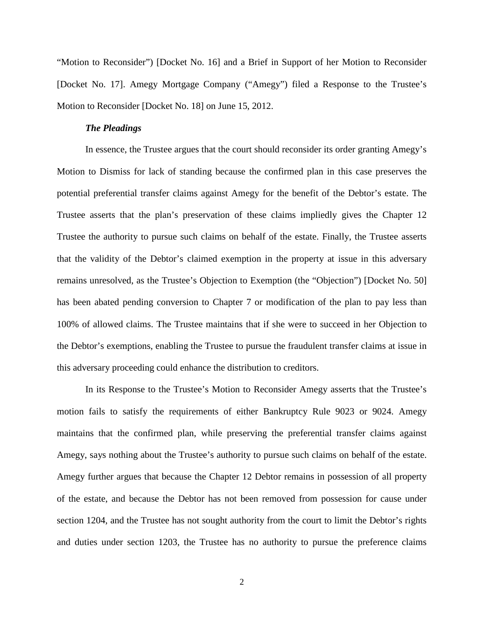"Motion to Reconsider") [Docket No. 16] and a Brief in Support of her Motion to Reconsider [Docket No. 17]. Amegy Mortgage Company ("Amegy") filed a Response to the Trustee's Motion to Reconsider [Docket No. 18] on June 15, 2012.

## *The Pleadings*

In essence, the Trustee argues that the court should reconsider its order granting Amegy's Motion to Dismiss for lack of standing because the confirmed plan in this case preserves the potential preferential transfer claims against Amegy for the benefit of the Debtor's estate. The Trustee asserts that the plan's preservation of these claims impliedly gives the Chapter 12 Trustee the authority to pursue such claims on behalf of the estate. Finally, the Trustee asserts that the validity of the Debtor's claimed exemption in the property at issue in this adversary remains unresolved, as the Trustee's Objection to Exemption (the "Objection") [Docket No. 50] has been abated pending conversion to Chapter 7 or modification of the plan to pay less than 100% of allowed claims. The Trustee maintains that if she were to succeed in her Objection to the Debtor's exemptions, enabling the Trustee to pursue the fraudulent transfer claims at issue in this adversary proceeding could enhance the distribution to creditors.

In its Response to the Trustee's Motion to Reconsider Amegy asserts that the Trustee's motion fails to satisfy the requirements of either Bankruptcy Rule 9023 or 9024. Amegy maintains that the confirmed plan, while preserving the preferential transfer claims against Amegy, says nothing about the Trustee's authority to pursue such claims on behalf of the estate. Amegy further argues that because the Chapter 12 Debtor remains in possession of all property of the estate, and because the Debtor has not been removed from possession for cause under section 1204, and the Trustee has not sought authority from the court to limit the Debtor's rights and duties under section 1203, the Trustee has no authority to pursue the preference claims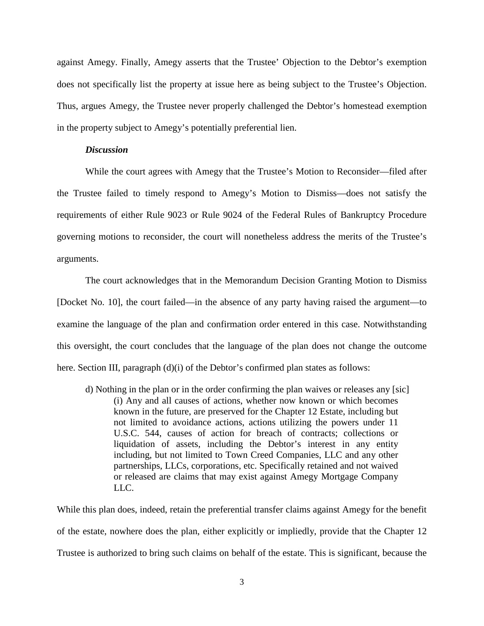against Amegy. Finally, Amegy asserts that the Trustee' Objection to the Debtor's exemption does not specifically list the property at issue here as being subject to the Trustee's Objection. Thus, argues Amegy, the Trustee never properly challenged the Debtor's homestead exemption in the property subject to Amegy's potentially preferential lien.

## *Discussion*

While the court agrees with Amegy that the Trustee's Motion to Reconsider—filed after the Trustee failed to timely respond to Amegy's Motion to Dismiss—does not satisfy the requirements of either Rule 9023 or Rule 9024 of the Federal Rules of Bankruptcy Procedure governing motions to reconsider, the court will nonetheless address the merits of the Trustee's arguments.

The court acknowledges that in the Memorandum Decision Granting Motion to Dismiss [Docket No. 10], the court failed—in the absence of any party having raised the argument—to examine the language of the plan and confirmation order entered in this case. Notwithstanding this oversight, the court concludes that the language of the plan does not change the outcome here. Section III, paragraph (d)(i) of the Debtor's confirmed plan states as follows:

d) Nothing in the plan or in the order confirming the plan waives or releases any [sic] (i) Any and all causes of actions, whether now known or which becomes known in the future, are preserved for the Chapter 12 Estate, including but not limited to avoidance actions, actions utilizing the powers under 11 U.S.C. 544, causes of action for breach of contracts; collections or liquidation of assets, including the Debtor's interest in any entity including, but not limited to Town Creed Companies, LLC and any other partnerships, LLCs, corporations, etc. Specifically retained and not waived or released are claims that may exist against Amegy Mortgage Company LLC.

While this plan does, indeed, retain the preferential transfer claims against Amegy for the benefit of the estate, nowhere does the plan, either explicitly or impliedly, provide that the Chapter 12 Trustee is authorized to bring such claims on behalf of the estate. This is significant, because the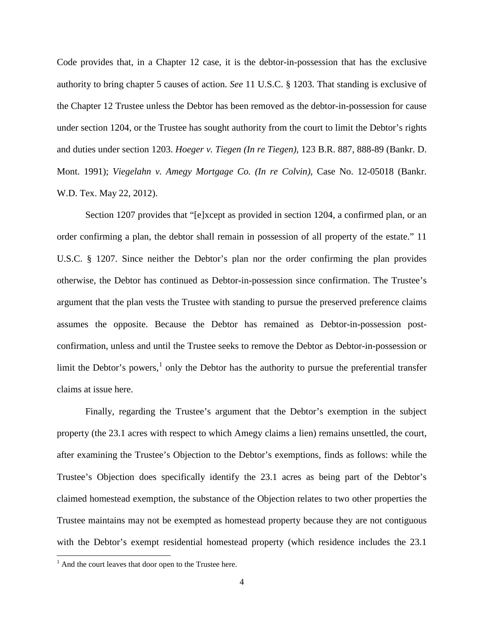Code provides that, in a Chapter 12 case, it is the debtor-in-possession that has the exclusive authority to bring chapter 5 causes of action. *See* 11 U.S.C. § 1203. That standing is exclusive of the Chapter 12 Trustee unless the Debtor has been removed as the debtor-in-possession for cause under section 1204, or the Trustee has sought authority from the court to limit the Debtor's rights and duties under section 1203. *Hoeger v. Tiegen (In re Tiegen)*, 123 B.R. 887, 888-89 (Bankr. D. Mont. 1991); *Viegelahn v. Amegy Mortgage Co. (In re Colvin)*, Case No. 12-05018 (Bankr. W.D. Tex. May 22, 2012).

Section 1207 provides that "[e]xcept as provided in section 1204, a confirmed plan, or an order confirming a plan, the debtor shall remain in possession of all property of the estate." 11 U.S.C. § 1207. Since neither the Debtor's plan nor the order confirming the plan provides otherwise, the Debtor has continued as Debtor-in-possession since confirmation. The Trustee's argument that the plan vests the Trustee with standing to pursue the preserved preference claims assumes the opposite. Because the Debtor has remained as Debtor-in-possession postconfirmation, unless and until the Trustee seeks to remove the Debtor as Debtor-in-possession or limit the Debtor's powers, $<sup>1</sup>$  $<sup>1</sup>$  $<sup>1</sup>$  only the Debtor has the authority to pursue the preferential transfer</sup> claims at issue here.

Finally, regarding the Trustee's argument that the Debtor's exemption in the subject property (the 23.1 acres with respect to which Amegy claims a lien) remains unsettled, the court, after examining the Trustee's Objection to the Debtor's exemptions, finds as follows: while the Trustee's Objection does specifically identify the 23.1 acres as being part of the Debtor's claimed homestead exemption, the substance of the Objection relates to two other properties the Trustee maintains may not be exempted as homestead property because they are not contiguous with the Debtor's exempt residential homestead property (which residence includes the 23.1

l

<span id="page-3-0"></span> $<sup>1</sup>$  And the court leaves that door open to the Trustee here.</sup>